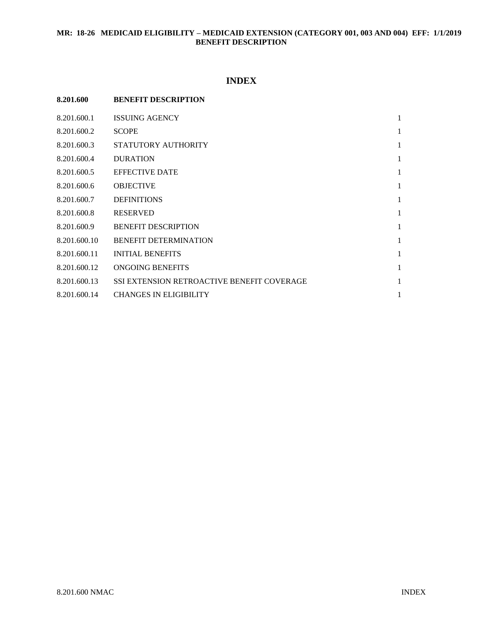# **MR: 18-26 MEDICAID ELIGIBILITY – MEDICAID EXTENSION (CATEGORY 001, 003 AND 004) EFF: 1/1/2019 BENEFIT DESCRIPTION**

# **INDEX**

| 8.201.600    | <b>BENEFIT DESCRIPTION</b>                 |              |
|--------------|--------------------------------------------|--------------|
| 8.201.600.1  | <b>ISSUING AGENCY</b>                      | $\mathbf{1}$ |
| 8.201.600.2  | <b>SCOPE</b>                               | 1            |
| 8.201.600.3  | STATUTORY AUTHORITY                        | 1            |
| 8.201.600.4  | <b>DURATION</b>                            | 1            |
| 8.201.600.5  | <b>EFFECTIVE DATE</b>                      | 1            |
| 8.201.600.6  | <b>OBJECTIVE</b>                           | 1            |
| 8.201.600.7  | <b>DEFINITIONS</b>                         | 1            |
| 8.201.600.8  | <b>RESERVED</b>                            | $\mathbf{1}$ |
| 8.201.600.9  | <b>BENEFIT DESCRIPTION</b>                 | 1            |
| 8.201.600.10 | <b>BENEFIT DETERMINATION</b>               | 1            |
| 8.201.600.11 | <b>INITIAL BENEFITS</b>                    | 1            |
| 8.201.600.12 | ONGOING BENEFITS                           | 1            |
| 8.201.600.13 | SSI EXTENSION RETROACTIVE BENEFIT COVERAGE | 1            |
| 8.201.600.14 | <b>CHANGES IN ELIGIBILITY</b>              | 1            |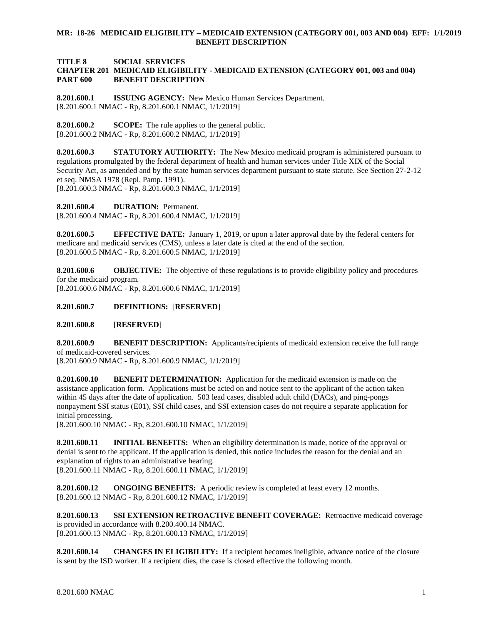## **MR: 18-26 MEDICAID ELIGIBILITY – MEDICAID EXTENSION (CATEGORY 001, 003 AND 004) EFF: 1/1/2019 BENEFIT DESCRIPTION**

### **TITLE 8 SOCIAL SERVICES CHAPTER 201 MEDICAID ELIGIBILITY - MEDICAID EXTENSION (CATEGORY 001, 003 and 004) PART 600 BENEFIT DESCRIPTION**

<span id="page-1-0"></span>**8.201.600.1 ISSUING AGENCY:** New Mexico Human Services Department. [8.201.600.1 NMAC - Rp, 8.201.600.1 NMAC, 1/1/2019]

<span id="page-1-1"></span>**8.201.600.2 SCOPE:** The rule applies to the general public. [8.201.600.2 NMAC - Rp, 8.201.600.2 NMAC, 1/1/2019]

<span id="page-1-2"></span>**8.201.600.3 STATUTORY AUTHORITY:** The New Mexico medicaid program is administered pursuant to regulations promulgated by the federal department of health and human services under Title XIX of the Social Security Act, as amended and by the state human services department pursuant to state statute. See Section 27-2-12 et seq. NMSA 1978 (Repl. Pamp. 1991). [8.201.600.3 NMAC - Rp, 8.201.600.3 NMAC, 1/1/2019]

<span id="page-1-3"></span>**8.201.600.4 DURATION:** Permanent. [8.201.600.4 NMAC - Rp, 8.201.600.4 NMAC, 1/1/2019]

<span id="page-1-4"></span>**8.201.600.5 EFFECTIVE DATE:** January 1, 2019, or upon a later approval date by the federal centers for medicare and medicaid services (CMS), unless a later date is cited at the end of the section. [8.201.600.5 NMAC - Rp, 8.201.600.5 NMAC, 1/1/2019]

<span id="page-1-5"></span>**8.201.600.6 OBJECTIVE:** The objective of these regulations is to provide eligibility policy and procedures for the medicaid program.

[8.201.600.6 NMAC - Rp, 8.201.600.6 NMAC, 1/1/2019]

### <span id="page-1-6"></span>**8.201.600.7 DEFINITIONS:** [**RESERVED**]

<span id="page-1-7"></span>**8.201.600.8** [**RESERVED**]

<span id="page-1-8"></span>**8.201.600.9 BENEFIT DESCRIPTION:** Applicants/recipients of medicaid extension receive the full range of medicaid-covered services.

[8.201.600.9 NMAC - Rp, 8.201.600.9 NMAC, 1/1/2019]

<span id="page-1-9"></span>**8.201.600.10 BENEFIT DETERMINATION:** Application for the medicaid extension is made on the assistance application form. Applications must be acted on and notice sent to the applicant of the action taken within 45 days after the date of application. 503 lead cases, disabled adult child (DACs), and ping-pongs nonpayment SSI status (E01), SSI child cases, and SSI extension cases do not require a separate application for initial processing.

[8.201.600.10 NMAC - Rp, 8.201.600.10 NMAC, 1/1/2019]

<span id="page-1-10"></span>**8.201.600.11 INITIAL BENEFITS:** When an eligibility determination is made, notice of the approval or denial is sent to the applicant. If the application is denied, this notice includes the reason for the denial and an explanation of rights to an administrative hearing. [8.201.600.11 NMAC - Rp, 8.201.600.11 NMAC, 1/1/2019]

<span id="page-1-11"></span>**8.201.600.12 ONGOING BENEFITS:** A periodic review is completed at least every 12 months. [8.201.600.12 NMAC - Rp, 8.201.600.12 NMAC, 1/1/2019]

<span id="page-1-12"></span>**8.201.600.13 SSI EXTENSION RETROACTIVE BENEFIT COVERAGE:** Retroactive medicaid coverage is provided in accordance with 8.200.400.14 NMAC. [8.201.600.13 NMAC - Rp, 8.201.600.13 NMAC, 1/1/2019]

<span id="page-1-13"></span>**8.201.600.14 CHANGES IN ELIGIBILITY:** If a recipient becomes ineligible, advance notice of the closure is sent by the ISD worker. If a recipient dies, the case is closed effective the following month.